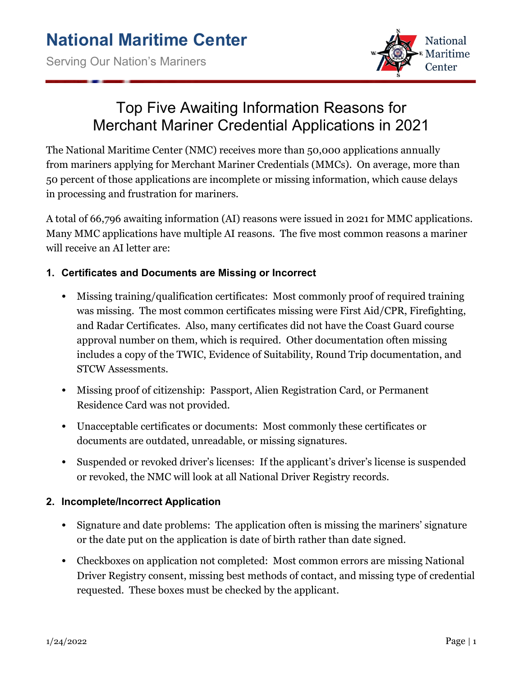

# Top Five Awaiting Information Reasons for Merchant Mariner Credential Applications in 2021

The National Maritime Center (NMC) receives more than 50,000 applications annually from mariners applying for Merchant Mariner Credentials (MMCs). On average, more than 50 percent of those applications are incomplete or missing information, which cause delays in processing and frustration for mariners.

A total of 66,796 awaiting information (AI) reasons were issued in 2021 for MMC applications. Many MMC applications have multiple AI reasons. The five most common reasons a mariner will receive an AI letter are:

## **1. Certificates and Documents are Missing or Incorrect**

- Missing training/qualification certificates: Most commonly proof of required training was missing. The most common certificates missing were First Aid/CPR, Firefighting, and Radar Certificates. Also, many certificates did not have the Coast Guard course approval number on them, which is required. Other documentation often missing includes a copy of the TWIC, Evidence of Suitability, Round Trip documentation, and STCW Assessments.
- Missing proof of citizenship: Passport, Alien Registration Card, or Permanent Residence Card was not provided.
- Unacceptable certificates or documents: Most commonly these certificates or documents are outdated, unreadable, or missing signatures.
- Suspended or revoked driver's licenses: If the applicant's driver's license is suspended or revoked, the NMC will look at all National Driver Registry records.

### **2. Incomplete/Incorrect Application**

- Signature and date problems: The application often is missing the mariners' signature or the date put on the application is date of birth rather than date signed.
- Checkboxes on application not completed: Most common errors are missing National Driver Registry consent, missing best methods of contact, and missing type of credential requested. These boxes must be checked by the applicant.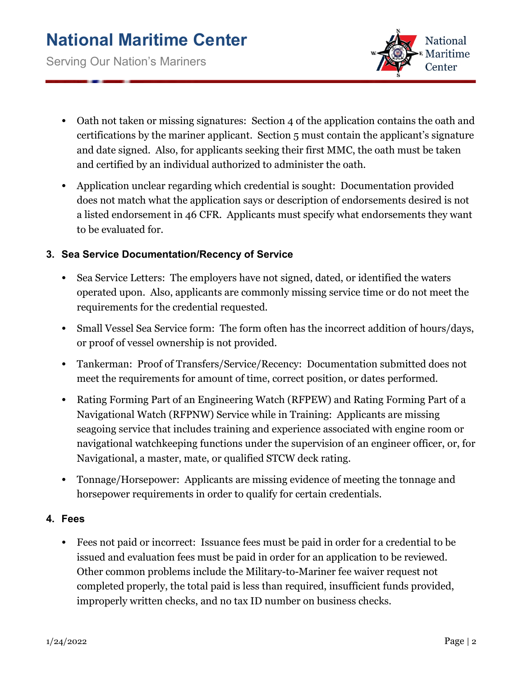

- Oath not taken or missing signatures: Section 4 of the application contains the oath and certifications by the mariner applicant. Section 5 must contain the applicant's signature and date signed. Also, for applicants seeking their first MMC, the oath must be taken and certified by an individual authorized to administer the oath.
- Application unclear regarding which credential is sought: Documentation provided does not match what the application says or description of endorsements desired is not a listed endorsement in 46 CFR. Applicants must specify what endorsements they want to be evaluated for.

#### **3. Sea Service Documentation/Recency of Service**

- Sea Service Letters: The employers have not signed, dated, or identified the waters operated upon. Also, applicants are commonly missing service time or do not meet the requirements for the credential requested.
- Small Vessel Sea Service form: The form often has the incorrect addition of hours/days, or proof of vessel ownership is not provided.
- Tankerman: Proof of Transfers/Service/Recency: Documentation submitted does not meet the requirements for amount of time, correct position, or dates performed.
- Rating Forming Part of an Engineering Watch (RFPEW) and Rating Forming Part of a Navigational Watch (RFPNW) Service while in Training: Applicants are missing seagoing service that includes training and experience associated with engine room or navigational watchkeeping functions under the supervision of an engineer officer, or, for Navigational, a master, mate, or qualified STCW deck rating.
- Tonnage/Horsepower: Applicants are missing evidence of meeting the tonnage and horsepower requirements in order to qualify for certain credentials.

#### **4. Fees**

• Fees not paid or incorrect: Issuance fees must be paid in order for a credential to be issued and evaluation fees must be paid in order for an application to be reviewed. Other common problems include the Military-to-Mariner fee waiver request not completed properly, the total paid is less than required, insufficient funds provided, improperly written checks, and no tax ID number on business checks.